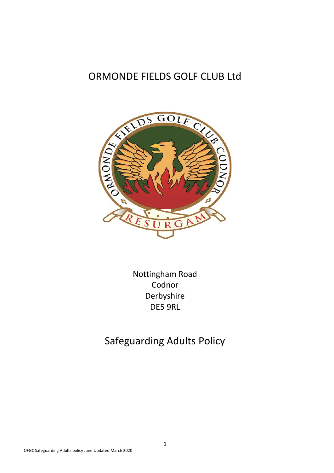# ORMONDE FIELDS GOLF CLUB Ltd



Nottingham Road Codnor Derbyshire DE5 9RL

# Safeguarding Adults Policy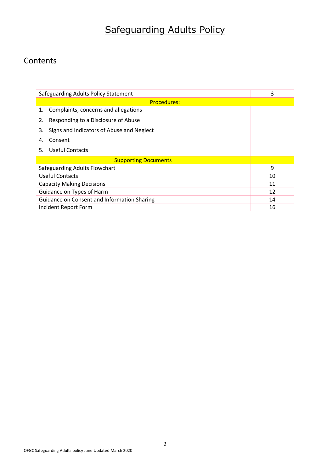# Safeguarding Adults Policy

## **Contents**

| Safeguarding Adults Policy Statement            | 3  |  |  |  |
|-------------------------------------------------|----|--|--|--|
| <b>Procedures:</b>                              |    |  |  |  |
| Complaints, concerns and allegations<br>1.      |    |  |  |  |
| Responding to a Disclosure of Abuse<br>2.       |    |  |  |  |
| 3.<br>Signs and Indicators of Abuse and Neglect |    |  |  |  |
| Consent<br>4.                                   |    |  |  |  |
| 5.<br>Useful Contacts                           |    |  |  |  |
| <b>Supporting Documents</b>                     |    |  |  |  |
| Safeguarding Adults Flowchart                   | 9  |  |  |  |
| <b>Useful Contacts</b>                          | 10 |  |  |  |
| <b>Capacity Making Decisions</b>                | 11 |  |  |  |
| Guidance on Types of Harm                       | 12 |  |  |  |
| Guidance on Consent and Information Sharing     | 14 |  |  |  |
| Incident Report Form                            | 16 |  |  |  |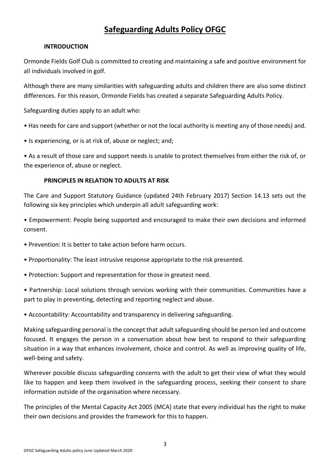## **Safeguarding Adults Policy OFGC**

#### **INTRODUCTION**

Ormonde Fields Golf Club is committed to creating and maintaining a safe and positive environment for all individuals involved in golf.

Although there are many similarities with safeguarding adults and children there are also some distinct differences. For this reason, Ormonde Fields has created a separate Safeguarding Adults Policy.

Safeguarding duties apply to an adult who:

• Has needs for care and support (whether or not the local authority is meeting any of those needs) and.

• Is experiencing, or is at risk of, abuse or neglect; and;

• As a result of those care and support needs is unable to protect themselves from either the risk of, or the experience of, abuse or neglect.

#### **PRINCIPLES IN RELATION TO ADULTS AT RISK**

The Care and Support Statutory Guidance (updated 24th February 2017) Section 14.13 sets out the following six key principles which underpin all adult safeguarding work:

• Empowerment: People being supported and encouraged to make their own decisions and informed consent.

- Prevention: It is better to take action before harm occurs.
- Proportionality: The least intrusive response appropriate to the risk presented.
- Protection: Support and representation for those in greatest need.
- Partnership: Local solutions through services working with their communities. Communities have a part to play in preventing, detecting and reporting neglect and abuse.
- Accountability: Accountability and transparency in delivering safeguarding.

Making safeguarding personal is the concept that adult safeguarding should be person led and outcome focused. It engages the person in a conversation about how best to respond to their safeguarding situation in a way that enhances involvement, choice and control. As well as improving quality of life, well-being and safety.

Wherever possible discuss safeguarding concerns with the adult to get their view of what they would like to happen and keep them involved in the safeguarding process, seeking their consent to share information outside of the organisation where necessary.

The principles of the Mental Capacity Act 2005 (MCA) state that every individual has the right to make their own decisions and provides the framework for this to happen.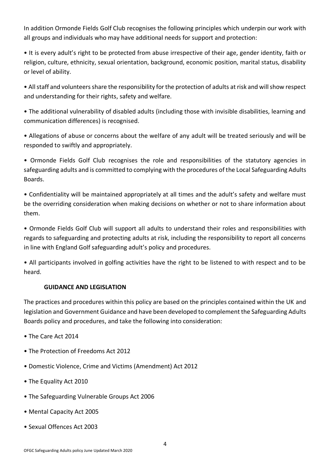In addition Ormonde Fields Golf Club recognises the following principles which underpin our work with all groups and individuals who may have additional needs for support and protection:

• It is every adult's right to be protected from abuse irrespective of their age, gender identity, faith or religion, culture, ethnicity, sexual orientation, background, economic position, marital status, disability or level of ability.

• All staff and volunteers share the responsibility for the protection of adults at risk and will show respect and understanding for their rights, safety and welfare.

• The additional vulnerability of disabled adults (including those with invisible disabilities, learning and communication differences) is recognised.

• Allegations of abuse or concerns about the welfare of any adult will be treated seriously and will be responded to swiftly and appropriately.

• Ormonde Fields Golf Club recognises the role and responsibilities of the statutory agencies in safeguarding adults and is committed to complying with the procedures of the Local Safeguarding Adults Boards.

• Confidentiality will be maintained appropriately at all times and the adult's safety and welfare must be the overriding consideration when making decisions on whether or not to share information about them.

• Ormonde Fields Golf Club will support all adults to understand their roles and responsibilities with regards to safeguarding and protecting adults at risk, including the responsibility to report all concerns in line with England Golf safeguarding adult's policy and procedures.

• All participants involved in golfing activities have the right to be listened to with respect and to be heard.

### **GUIDANCE AND LEGISLATION**

The practices and procedures within this policy are based on the principles contained within the UK and legislation and Government Guidance and have been developed to complement the Safeguarding Adults Boards policy and procedures, and take the following into consideration:

- The Care Act 2014
- The Protection of Freedoms Act 2012
- Domestic Violence, Crime and Victims (Amendment) Act 2012
- The Equality Act 2010
- The Safeguarding Vulnerable Groups Act 2006
- Mental Capacity Act 2005
- Sexual Offences Act 2003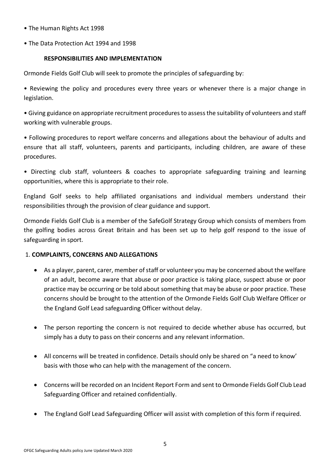- The Human Rights Act 1998
- The Data Protection Act 1994 and 1998

#### **RESPONSIBILITIES AND IMPLEMENTATION**

Ormonde Fields Golf Club will seek to promote the principles of safeguarding by:

• Reviewing the policy and procedures every three years or whenever there is a major change in legislation.

• Giving guidance on appropriate recruitment procedures to assess the suitability of volunteers and staff working with vulnerable groups.

• Following procedures to report welfare concerns and allegations about the behaviour of adults and ensure that all staff, volunteers, parents and participants, including children, are aware of these procedures.

• Directing club staff, volunteers & coaches to appropriate safeguarding training and learning opportunities, where this is appropriate to their role.

England Golf seeks to help affiliated organisations and individual members understand their responsibilities through the provision of clear guidance and support.

Ormonde Fields Golf Club is a member of the SafeGolf Strategy Group which consists of members from the golfing bodies across Great Britain and has been set up to help golf respond to the issue of safeguarding in sport.

#### 1. **COMPLAINTS, CONCERNS AND ALLEGATIONS**

- As a player, parent, carer, member of staff or volunteer you may be concerned about the welfare of an adult, become aware that abuse or poor practice is taking place, suspect abuse or poor practice may be occurring or be told about something that may be abuse or poor practice. These concerns should be brought to the attention of the Ormonde Fields Golf Club Welfare Officer or the England Golf Lead safeguarding Officer without delay.
- The person reporting the concern is not required to decide whether abuse has occurred, but simply has a duty to pass on their concerns and any relevant information.
- All concerns will be treated in confidence. Details should only be shared on "a need to know' basis with those who can help with the management of the concern.
- Concerns will be recorded on an Incident Report Form and sent to Ormonde Fields Golf Club Lead Safeguarding Officer and retained confidentially.
- The England Golf Lead Safeguarding Officer will assist with completion of this form if required.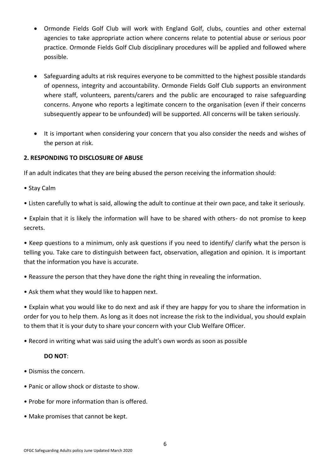- Ormonde Fields Golf Club will work with England Golf, clubs, counties and other external agencies to take appropriate action where concerns relate to potential abuse or serious poor practice. Ormonde Fields Golf Club disciplinary procedures will be applied and followed where possible.
- Safeguarding adults at risk requires everyone to be committed to the highest possible standards of openness, integrity and accountability. Ormonde Fields Golf Club supports an environment where staff, volunteers, parents/carers and the public are encouraged to raise safeguarding concerns. Anyone who reports a legitimate concern to the organisation (even if their concerns subsequently appear to be unfounded) will be supported. All concerns will be taken seriously.
- It is important when considering your concern that you also consider the needs and wishes of the person at risk.

#### **2. RESPONDING TO DISCLOSURE OF ABUSE**

If an adult indicates that they are being abused the person receiving the information should:

- Stay Calm
- Listen carefully to what is said, allowing the adult to continue at their own pace, and take it seriously.

• Explain that it is likely the information will have to be shared with others- do not promise to keep secrets.

• Keep questions to a minimum, only ask questions if you need to identify/ clarify what the person is telling you. Take care to distinguish between fact, observation, allegation and opinion. It is important that the information you have is accurate.

- Reassure the person that they have done the right thing in revealing the information.
- Ask them what they would like to happen next.

• Explain what you would like to do next and ask if they are happy for you to share the information in order for you to help them. As long as it does not increase the risk to the individual, you should explain to them that it is your duty to share your concern with your Club Welfare Officer.

• Record in writing what was said using the adult's own words as soon as possible

#### **DO NOT**:

- Dismiss the concern.
- Panic or allow shock or distaste to show.
- Probe for more information than is offered.
- Make promises that cannot be kept.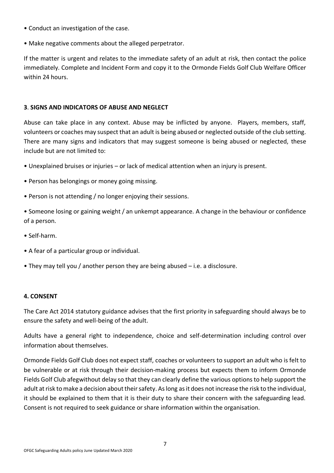- Conduct an investigation of the case.
- Make negative comments about the alleged perpetrator.

If the matter is urgent and relates to the immediate safety of an adult at risk, then contact the police immediately. Complete and Incident Form and copy it to the Ormonde Fields Golf Club Welfare Officer within 24 hours.

#### **3**. **SIGNS AND INDICATORS OF ABUSE AND NEGLECT**

Abuse can take place in any context. Abuse may be inflicted by anyone. Players, members, staff, volunteers or coaches may suspect that an adult is being abused or neglected outside of the club setting. There are many signs and indicators that may suggest someone is being abused or neglected, these include but are not limited to:

- Unexplained bruises or injuries or lack of medical attention when an injury is present.
- Person has belongings or money going missing.
- Person is not attending / no longer enjoying their sessions.

• Someone losing or gaining weight / an unkempt appearance. A change in the behaviour or confidence of a person.

- Self-harm.
- A fear of a particular group or individual.
- They may tell you / another person they are being abused i.e. a disclosure.

#### **4. CONSENT**

The Care Act 2014 statutory guidance advises that the first priority in safeguarding should always be to ensure the safety and well-being of the adult.

Adults have a general right to independence, choice and self-determination including control over information about themselves.

Ormonde Fields Golf Club does not expect staff, coaches or volunteers to support an adult who is felt to be vulnerable or at risk through their decision-making process but expects them to inform Ormonde Fields Golf Club afegwithout delay so that they can clearly define the various options to help support the adult at risk to make a decision about their safety. As long as it does not increase the risk to the individual, it should be explained to them that it is their duty to share their concern with the safeguarding lead. Consent is not required to seek guidance or share information within the organisation.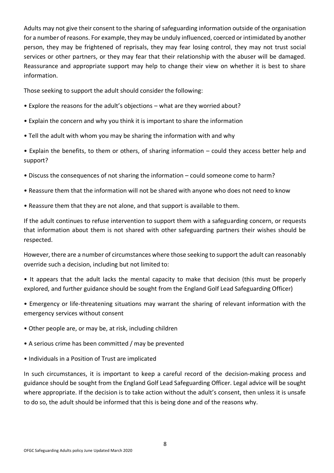Adults may not give their consent to the sharing of safeguarding information outside of the organisation for a number of reasons. For example, they may be unduly influenced, coerced or intimidated by another person, they may be frightened of reprisals, they may fear losing control, they may not trust social services or other partners, or they may fear that their relationship with the abuser will be damaged. Reassurance and appropriate support may help to change their view on whether it is best to share information.

Those seeking to support the adult should consider the following:

- Explore the reasons for the adult's objections what are they worried about?
- Explain the concern and why you think it is important to share the information
- Tell the adult with whom you may be sharing the information with and why

• Explain the benefits, to them or others, of sharing information – could they access better help and support?

- Discuss the consequences of not sharing the information could someone come to harm?
- Reassure them that the information will not be shared with anyone who does not need to know
- Reassure them that they are not alone, and that support is available to them.

If the adult continues to refuse intervention to support them with a safeguarding concern, or requests that information about them is not shared with other safeguarding partners their wishes should be respected.

However, there are a number of circumstances where those seeking to support the adult can reasonably override such a decision, including but not limited to:

• It appears that the adult lacks the mental capacity to make that decision (this must be properly explored, and further guidance should be sought from the England Golf Lead Safeguarding Officer)

• Emergency or life-threatening situations may warrant the sharing of relevant information with the emergency services without consent

- Other people are, or may be, at risk, including children
- A serious crime has been committed / may be prevented
- Individuals in a Position of Trust are implicated

In such circumstances, it is important to keep a careful record of the decision-making process and guidance should be sought from the England Golf Lead Safeguarding Officer. Legal advice will be sought where appropriate. If the decision is to take action without the adult's consent, then unless it is unsafe to do so, the adult should be informed that this is being done and of the reasons why.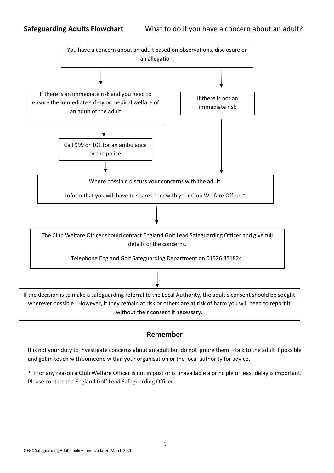

**Remember**

It is not your duty to investigate concerns about an adult but do not ignore them – talk to the adult if possible and get in touch with someone within your organisation or the local authority for advice.

\* If for any reason a Club Welfare Officer is not in post or is unavailable a principle of least delay is important. Please contact the England Golf Lead Safeguarding Officer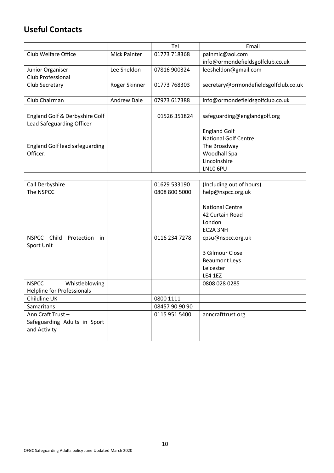## **Useful Contacts**

|                                       |                     | Tel          | Email                                 |
|---------------------------------------|---------------------|--------------|---------------------------------------|
| Club Welfare Office                   | <b>Mick Painter</b> | 01773 718368 | painmic@aol.com                       |
|                                       |                     |              | info@ormondefieldsgolfclub.co.uk      |
| Junior Organiser                      | Lee Sheldon         | 07816 900324 | leesheldon@gmail.com                  |
| Club Professional                     |                     |              |                                       |
| Club Secretary                        | Roger Skinner       | 01773 768303 | secretary@ormondefieldsgolfclub.co.uk |
|                                       |                     |              |                                       |
| Club Chairman                         | <b>Andrew Dale</b>  | 07973 617388 | info@ormondefieldsgolfclub.co.uk      |
|                                       |                     |              |                                       |
| England Golf & Derbyshire Golf        |                     | 01526 351824 | safeguarding@englandgolf.org          |
| Lead Safeguarding Officer             |                     |              |                                       |
|                                       |                     |              | <b>England Golf</b>                   |
|                                       |                     |              | <b>National Golf Centre</b>           |
| <b>England Golf lead safeguarding</b> |                     |              | The Broadway                          |
| Officer.                              |                     |              | Woodhall Spa                          |
|                                       |                     |              | Lincolnshire                          |
|                                       |                     |              | <b>LN10 6PU</b>                       |
|                                       |                     |              |                                       |

| Call Derbyshire                   | 01629 533190   | (Including out of hours) |
|-----------------------------------|----------------|--------------------------|
| The NSPCC                         | 0808 800 5000  | help@nspcc.org.uk        |
|                                   |                |                          |
|                                   |                | <b>National Centre</b>   |
|                                   |                | 42 Curtain Road          |
|                                   |                | London                   |
|                                   |                | EC2A 3NH                 |
| NSPCC Child<br>Protection<br>in   | 0116 234 7278  | cpsu@nspcc.org.uk        |
| Sport Unit                        |                |                          |
|                                   |                | 3 Gilmour Close          |
|                                   |                | <b>Beaumont Leys</b>     |
|                                   |                | Leicester                |
|                                   |                | <b>LE4 1EZ</b>           |
| <b>NSPCC</b><br>Whistleblowing    |                | 0808 028 0285            |
| <b>Helpline for Professionals</b> |                |                          |
| Childline UK                      | 0800 1111      |                          |
| <b>Samaritans</b>                 | 08457 90 90 90 |                          |
| Ann Craft Trust-                  | 0115 951 5400  | anncrafttrust.org        |
| Safeguarding Adults in Sport      |                |                          |
| and Activity                      |                |                          |
|                                   |                |                          |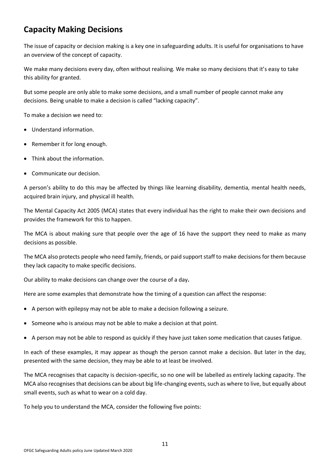## **Capacity Making Decisions**

The issue of capacity or decision making is a key one in safeguarding adults. It is useful for organisations to have an overview of the concept of capacity.

We make many decisions every day, often without realising. We make so many decisions that it's easy to take this ability for granted.

But some people are only able to make some decisions, and a small number of people cannot make any decisions. Being unable to make a decision is called "lacking capacity".

To make a decision we need to:

- Understand information.
- Remember it for long enough.
- Think about the information.
- Communicate our decision.

A person's ability to do this may be affected by things like learning disability, dementia, mental health needs, acquired brain injury, and physical ill health.

The Mental Capacity Act 2005 (MCA) states that every individual has the right to make their own decisions and provides the framework for this to happen.

The MCA is about making sure that people over the age of 16 have the support they need to make as many decisions as possible.

The MCA also protects people who need family, friends, or paid support staff to make decisions for them because they lack capacity to make specific decisions.

Our ability to make decisions can change over the course of a day**.**

Here are some examples that demonstrate how the timing of a question can affect the response:

- A person with epilepsy may not be able to make a decision following a seizure.
- Someone who is anxious may not be able to make a decision at that point.
- A person may not be able to respond as quickly if they have just taken some medication that causes fatigue.

In each of these examples, it may appear as though the person cannot make a decision. But later in the day, presented with the same decision, they may be able to at least be involved.

The MCA recognises that capacity is decision-specific, so no one will be labelled as entirely lacking capacity. The MCA also recognises that decisions can be about big life-changing events, such as where to live, but equally about small events, such as what to wear on a cold day.

To help you to understand the MCA, consider the following five points: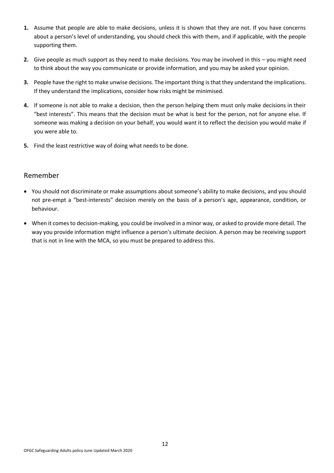- **1.** Assume that people are able to make decisions, unless it is shown that they are not. If you have concerns about a person's level of understanding, you should check this with them, and if applicable, with the people supporting them.
- **2.** Give people as much support as they need to make decisions. You may be involved in this you might need to think about the way you communicate or provide information, and you may be asked your opinion.
- **3.** People have the right to make unwise decisions. The important thing is that they understand the implications. If they understand the implications, consider how risks might be minimised.
- **4.** If someone is not able to make a decision, then the person helping them must only make decisions in their "best interests". This means that the decision must be what is best for the person, not for anyone else. If someone was making a decision on your behalf, you would want it to reflect the decision you would make if you were able to.
- **5.** Find the least restrictive way of doing what needs to be done.

#### Remember

- You should not discriminate or make assumptions about someone's ability to make decisions, and you should not pre-empt a "best-interests" decision merely on the basis of a person's age, appearance, condition, or behaviour.
- When it comes to decision-making, you could be involved in a minor way, or asked to provide more detail. The way you provide information might influence a person's ultimate decision. A person may be receiving support that is not in line with the MCA, so you must be prepared to address this.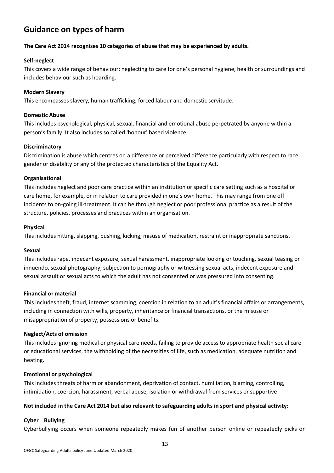## **Guidance on types of harm**

#### **The Care Act 2014 recognises 10 categories of abuse that may be experienced by adults.**

#### **Self-neglect**

This covers a wide range of behaviour: neglecting to care for one's personal hygiene, health or surroundings and includes behaviour such as hoarding.

#### **Modern Slavery**

This encompasses slavery, human trafficking, forced labour and domestic servitude.

#### **Domestic Abuse**

This includes psychological, physical, sexual, financial and emotional abuse perpetrated by anyone within a person's family. It also includes so called 'honour' based violence.

#### **Discriminatory**

Discrimination is abuse which centres on a difference or perceived difference particularly with respect to race, gender or disability or any of the protected characteristics of the Equality Act.

#### **Organisational**

This includes neglect and poor care practice within an institution or specific care setting such as a hospital or care home, for example, or in relation to care provided in one's own home. This may range from one off incidents to on-going ill-treatment. It can be through neglect or poor professional practice as a result of the structure, policies, processes and practices within an organisation.

#### **Physical**

This includes hitting, slapping, pushing, kicking, misuse of medication, restraint or inappropriate sanctions.

#### **Sexual**

This includes rape, indecent exposure, sexual harassment, inappropriate looking or touching, sexual teasing or innuendo, sexual photography, subjection to pornography or witnessing sexual acts, indecent exposure and sexual assault or sexual acts to which the adult has not consented or was pressured into consenting.

#### **Financial or material**

This includes theft, fraud, internet scamming, coercion in relation to an adult's financial affairs or arrangements, including in connection with wills, property, inheritance or financial transactions, or the misuse or misappropriation of property, possessions or benefits.

#### **Neglect/Acts of omission**

This includes ignoring medical or physical care needs, failing to provide access to appropriate health social care or educational services, the withholding of the necessities of life, such as medication, adequate nutrition and heating.

#### **Emotional or psychological**

This includes threats of harm or abandonment, deprivation of contact, humiliation, blaming, controlling, intimidation, coercion, harassment, verbal abuse, isolation or withdrawal from services or supportive

#### **Not included in the Care Act 2014 but also relevant to safeguarding adults in sport and physical activity:**

#### **Cyber Bullying**

Cyberbullying occurs when someone repeatedly makes fun of another person online or repeatedly picks on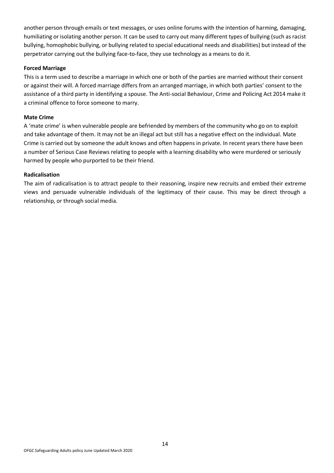another person through emails or text messages, or uses online forums with the intention of harming, damaging, humiliating or isolating another person. It can be used to carry out many different types of bullying (such as racist bullying, homophobic bullying, or bullying related to special educational needs and disabilities) but instead of the perpetrator carrying out the bullying face-to-face, they use technology as a means to do it.

#### **Forced Marriage**

This is a term used to describe a marriage in which one or both of the parties are married without their consent or against their will. A forced marriage differs from an arranged marriage, in which both parties' consent to the assistance of a third party in identifying a spouse. The Anti-social Behaviour, Crime and Policing Act 2014 make it a criminal offence to force someone to marry.

#### **Mate Crime**

A 'mate crime' is when vulnerable people are befriended by members of the community who go on to exploit and take advantage of them. It may not be an illegal act but still has a negative effect on the individual. Mate Crime is carried out by someone the adult knows and often happens in private. In recent years there have been a number of Serious Case Reviews relating to people with a learning disability who were murdered or seriously harmed by people who purported to be their friend.

#### **Radicalisation**

The aim of radicalisation is to attract people to their reasoning, inspire new recruits and embed their extreme views and persuade vulnerable individuals of the legitimacy of their cause. This may be direct through a relationship, or through social media.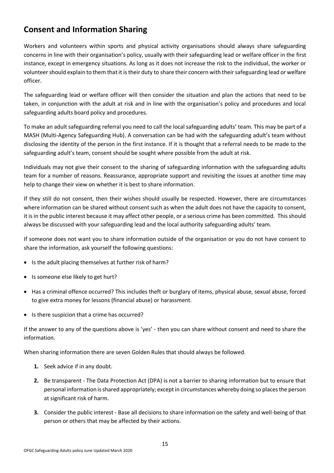## <span id="page-14-0"></span>**Consent and Information Sharing**

Workers and volunteers within sports and physical activity organisations should always share safeguarding concerns in line with their organisation's policy, usually with their safeguarding lead or welfare officer in the first instance, except in emergency situations. As long as it does not increase the risk to the individual, the worker or volunteer should explain to them that it is their duty to share their concern with their safeguarding lead or welfare officer.

The safeguarding lead or welfare officer will then consider the situation and plan the actions that need to be taken, in conjunction with the adult at risk and in line with the organisation's policy and procedures and local safeguarding adults board policy and procedures.

To make an adult safeguarding referral you need to call the local safeguarding adults' team. This may be part of a MASH (Multi*-*Agency Safeguarding Hub). A conversation can be had with the safeguarding adult's team without disclosing the identity of the person in the first instance. If it is thought that a referral needs to be made to the safeguarding adult's team, consent should be sought where possible from the adult at risk.

Individuals may not give their consent to the sharing of safeguarding information with the safeguarding adults team for a number of reasons. Reassurance, appropriate support and revisiting the issues at another time may help to change their view on whether it is best to share information.

If they still do not consent, then their wishes should usually be respected. However, there are circumstances where information can be shared without consent such as when the adult does not have the capacity to consent, it is in the public interest because it may affect other people, or a serious crime has been committed. This should always be discussed with your safeguarding lead and the local authority safeguarding adults' team.

If someone does not want you to share information outside of the organisation or you do not have consent to share the information, ask yourself the following questions:

- Is the adult placing themselves at further risk of harm?
- Is someone else likely to get hurt?
- Has a criminal offence occurred? This includes theft or burglary of items, physical abuse, sexual abuse, forced to give extra money for lessons (financial abuse) or harassment.
- Is there suspicion that a crime has occurred?

If the answer to any of the questions above is 'yes' - then you can share without consent and need to share the information.

When sharing information there are seven Golden Rules that should always be followed.

- **1.** Seek advice if in any doubt.
- **2.** Be transparent The Data Protection Act (DPA) is not a barrier to sharing information but to ensure that personal information is shared appropriately; except in circumstances whereby doing so places the person at significant risk of harm.
- **3.** Consider the public interest Base all decisions to share information on the safety and well-being of that person or others that may be affected by their actions.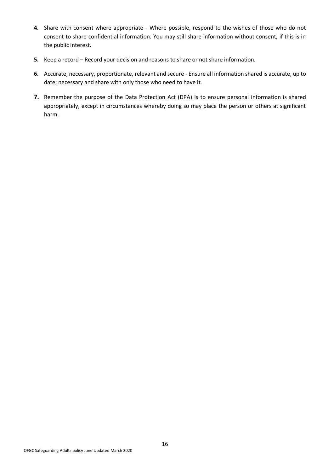- **4.** Share with consent where appropriate Where possible, respond to the wishes of those who do not consent to share confidential information. You may still share information without consent, if this is in the public interest.
- **5.** Keep a record Record your decision and reasons to share or not share information.
- **6.** Accurate, necessary, proportionate, relevant and secure Ensure all information shared is accurate, up to date; necessary and share with only those who need to have it.
- **7.** Remember the purpose of the Data Protection Act (DPA) is to ensure personal information is shared appropriately, except in circumstances whereby doing so may place the person or others at significant harm.